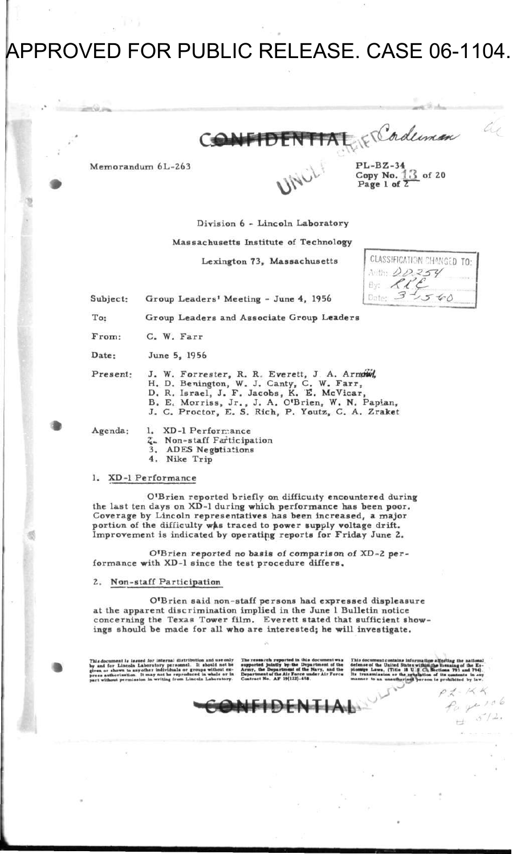# APPROVED FOR PUBLIC RELEASE. CASE 06-1104.



**Memorandum 6L-263** 

 $\mathcal{D}$ *\* 

**PL-BZ-34 Copy No.** *\* **3 of 20 Page 1 of ,** 

**Divisio n 6 - Lincoln Laborator y** 

**Massachusetts Institute of Technology** 

**Lexington 73 , Massachusetts** 

**CLASSIFICATION CHANGED TO:** Auto: 00254<br>By: *RRE* Date: 3 -*-a-6* 

**Subject: Group Leaders \* Meeting - June 4 , 1956** 

**To: Group Leader s and Associat e Group Leader s** 

From: C. W. Farr

**Date : June 5, 1956** 

Present: J. W. Forrester, R. R. Everett, J. A. Arnow,

**H. D. Benington, W. J. Canty, C. W. Farr ,** 

**D.** R. Israel, J. F. Jacobs, K. E. McVicar,

- **B. E< Morriss, Jr. , J. A . O'Brien, W. N . Papian ,**
- **J. C. Proctor , E. S. Rich , P. Youtz , C. A. Zrake t**

Agenda: 1. XD-1 Performance

- 
- **2~. N on-staff Participation 3. ADES Negotiations**
- **4, Nike Trip**

#### **1. XD-1 Performance**

**O'Brien reported briefly on difficulty encountered during the last ten days on XD-1 during which performance has been poor. Coverage by Lincoln representatives has been increased, a major**  portion of the difficulty was traced to power supply voltage drift. **Improvement is indicated by operating reports for Friday June 2.** 

**O'Brien reported no basis of comparison of XD-2 performance with XD-1 since the test procedure differs.** 

#### **2. Non-staff Participation**

**O'Brien said non-staff persons had expressed displeasure at the apparent discrimination implied in the June 1 Bulletin notice concerning the Texas Tower film. Everett stated that sufficient showings should be made for all who are interested; he will investigate.** 

This document is issued for internal distribution and use only<br>hy and for Lincoln Laboratory personnel. It should not be<br>given or shown to any other individuals or groups without ex-<br>press authorisation. It may not be repr

Department of the Air Force under Air Force Its transmission or the revelation of its

The ressarch reported in this document was This document contains information afforting the national supported jointly by the Department of the defense of the United States within the **nearing** of the Es-Army, the Department of the Navy, and the pionage Laws. (Title IS U **g** Ct. Sections 793 and 794) Contract No. AF 19(122)-458. manner to an unauthorized pers **I le prohibited by law** 

> $K$ Page 106  $5/2.$